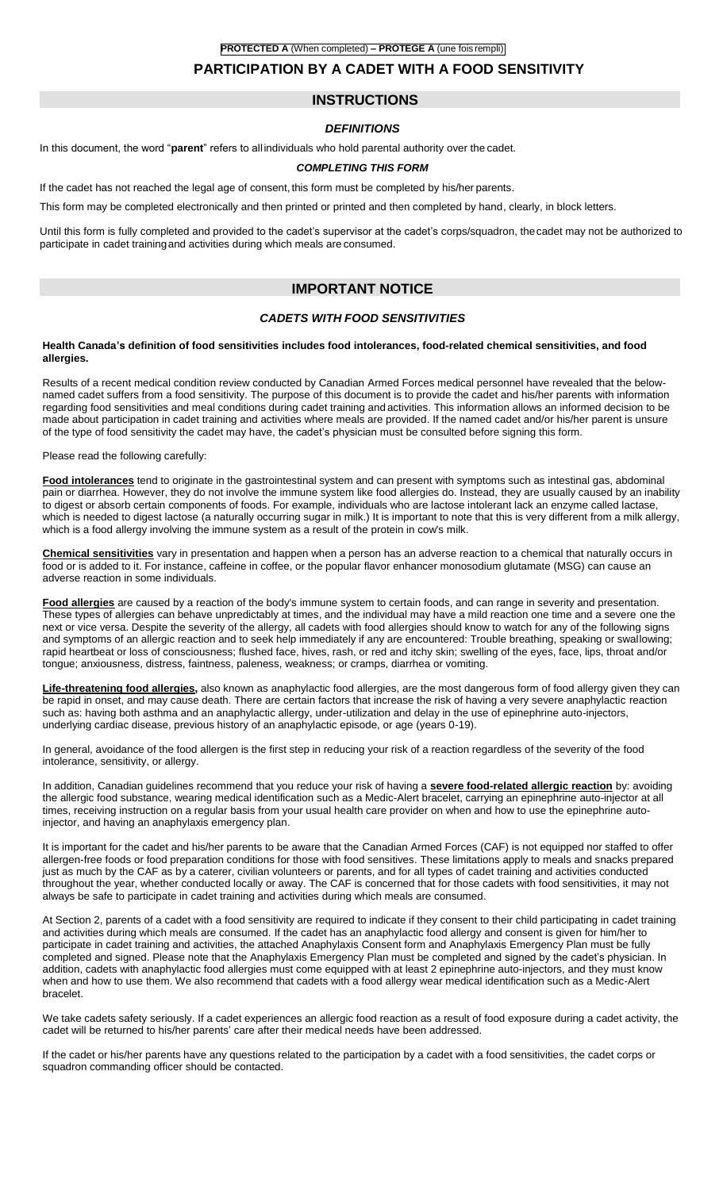# **PROTECTED A** (When completed) **– PROTÉGÉ A** (une fois rempli) **PARTICIPATION BY A CADET WITH A FOOD SENSITIVITY**

# **INSTRUCTIONS**

## *DEFINITIONS*

In this document, the word "**parent**" refers to all individuals who hold parental authority over the cadet.

#### *COMPLETING THIS FORM*

If the cadet has not reached the legal age of consent, this form must be completed by his/her parents.

This form may be completed electronically and then printed or printed and then completed by hand, clearly, in block letters.

Until this form is fully completed and provided to the cadet's supervisor at the cadet's corps/squadron, thecadet may not be authorized to participate in cadet trainingand activities during which meals are consumed.

# **IMPORTANT NOTICE**

### *CADETS WITH FOOD SENSITIVITIES*

#### **Health Canada's definition of food sensitivities includes food intolerances, food-related chemical sensitivities, and food allergies.**

Results of a recent medical condition review conducted by Canadian Armed Forces medical personnel have revealed that the belownamed cadet suffers from a food sensitivity. The purpose of this document is to provide the cadet and his/her parents with information regarding food sensitivities and meal conditions during cadet training and activities. This information allows an informed decision to be made about participation in cadet training and activities where meals are provided. If the named cadet and/or his/her parent is unsure of the type of food sensitivity the cadet may have, the cadet's physician must be consulted before signing this form.

Please read the following carefully:

**Food intolerances** tend to originate in the gastrointestinal system and can present with symptoms such as intestinal gas, abdominal pain or diarrhea. However, they do not involve the immune system like food allergies do. Instead, they are usually caused by an inability to digest or absorb certain components of foods. For example, individuals who are lactose intolerant lack an enzyme called lactase, which is needed to digest lactose (a naturally occurring sugar in milk.) It is important to note that this is very different from a milk allergy, which is a food allergy involving the immune system as a result of the protein in cow's milk.

**Chemical sensitivities** vary in presentation and happen when a person has an adverse reaction to a chemical that naturally occurs in food or is added to it. For instance, caffeine in coffee, or the popular flavor enhancer monosodium glutamate (MSG) can cause an adverse reaction in some individuals.

**Food allergies** are caused by a reaction of the body's immune system to certain foods, and can range in severity and presentation. These types of allergies can behave unpredictably at times, and the individual may have a mild reaction one time and a severe one the next or vice versa. Despite the severity of the allergy, all cadets with food allergies should know to watch for any of the following signs and symptoms of an allergic reaction and to seek help immediately if any are encountered: Trouble breathing, speaking or swallowing; rapid heartbeat or loss of consciousness; flushed face, hives, rash, or red and itchy skin; swelling of the eyes, face, lips, throat and/or tongue; anxiousness, distress, faintness, paleness, weakness; or cramps, diarrhea or vomiting.

**Life-threatening food allergies,** also known as anaphylactic food allergies, are the most dangerous form of food allergy given they can be rapid in onset, and may cause death. There are certain factors that increase the risk of having a very severe anaphylactic reaction such as: having both asthma and an anaphylactic allergy, under-utilization and delay in the use of epinephrine auto-injectors, underlying cardiac disease, previous history of an anaphylactic episode, or age (years 0-19).

In general, avoidance of the food allergen is the first step in reducing your risk of a reaction regardless of the severity of the food intolerance, sensitivity, or allergy.

In addition, Canadian guidelines recommend that you reduce your risk of having a **severe food-related allergic reaction** by: avoiding the allergic food substance, wearing medical identification such as a Medic-Alert bracelet, carrying an epinephrine auto-injector at all times, receiving instruction on a regular basis from your usual health care provider on when and how to use the epinephrine autoinjector, and having an anaphylaxis emergency plan.

It is important for the cadet and his/her parents to be aware that the Canadian Armed Forces (CAF) is not equipped nor staffed to offer allergen-free foods or food preparation conditions for those with food sensitives. These limitations apply to meals and snacks prepared just as much by the CAF as by a caterer, civilian volunteers or parents, and for all types of cadet training and activities conducted throughout the year, whether conducted locally or away. The CAF is concerned that for those cadets with food sensitivities, it may not always be safe to participate in cadet training and activities during which meals are consumed.

At Section 2, parents of a cadet with a food sensitivity are required to indicate if they consent to their child participating in cadet training and activities during which meals are consumed. If the cadet has an anaphylactic food allergy and consent is given for him/her to participate in cadet training and activities, the attached Anaphylaxis Consent form and Anaphylaxis Emergency Plan must be fully completed and signed. Please note that the Anaphylaxis Emergency Plan must be completed and signed by the cadet's physician. In addition, cadets with anaphylactic food allergies must come equipped with at least 2 epinephrine auto-injectors, and they must know when and how to use them. We also recommend that cadets with a food allergy wear medical identification such as a Medic-Alert bracelet.

We take cadets safety seriously. If a cadet experiences an allergic food reaction as a result of food exposure during a cadet activity, the cadet will be returned to his/her parents' care after their medical needs have been addressed.

If the cadet or his/her parents have any questions related to the participation by a cadet with a food sensitivities, the cadet corps or squadron commanding officer should be contacted.